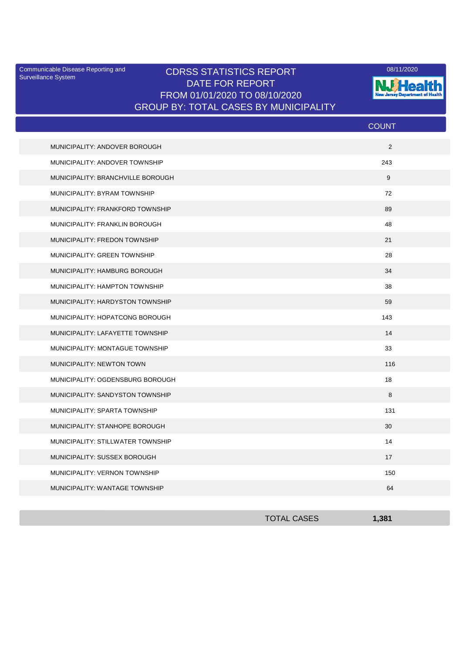Surveillance System

## Communicable Disease Reporting and CDRSS STATISTICS REPORT 2008/11/2020 DATE FOR REPORT FROM 01/01/2020 TO 08/10/2020 GROUP BY: TOTAL CASES BY MUNICIPALITY



|                                   | <b>COUNT</b> |
|-----------------------------------|--------------|
| MUNICIPALITY: ANDOVER BOROUGH     | 2            |
| MUNICIPALITY: ANDOVER TOWNSHIP    | 243          |
| MUNICIPALITY: BRANCHVILLE BOROUGH | 9            |
| MUNICIPALITY: BYRAM TOWNSHIP      | 72           |
| MUNICIPALITY: FRANKFORD TOWNSHIP  | 89           |
| MUNICIPALITY: FRANKLIN BOROUGH    | 48           |
| MUNICIPALITY: FREDON TOWNSHIP     | 21           |
| MUNICIPALITY: GREEN TOWNSHIP      | 28           |
| MUNICIPALITY: HAMBURG BOROUGH     | 34           |
| MUNICIPALITY: HAMPTON TOWNSHIP    | 38           |
| MUNICIPALITY: HARDYSTON TOWNSHIP  | 59           |
| MUNICIPALITY: HOPATCONG BOROUGH   | 143          |
| MUNICIPALITY: LAFAYETTE TOWNSHIP  | 14           |
| MUNICIPALITY: MONTAGUE TOWNSHIP   | 33           |
| <b>MUNICIPALITY: NEWTON TOWN</b>  | 116          |
| MUNICIPALITY: OGDENSBURG BOROUGH  | 18           |
| MUNICIPALITY: SANDYSTON TOWNSHIP  | 8            |
| MUNICIPALITY: SPARTA TOWNSHIP     | 131          |
| MUNICIPALITY: STANHOPE BOROUGH    | 30           |
| MUNICIPALITY: STILLWATER TOWNSHIP | 14           |
| MUNICIPALITY: SUSSEX BOROUGH      | 17           |
| MUNICIPALITY: VERNON TOWNSHIP     | 150          |
| MUNICIPALITY: WANTAGE TOWNSHIP    | 64           |

| <b>TOTAL CASES</b> | 1 381 |
|--------------------|-------|
|                    |       |